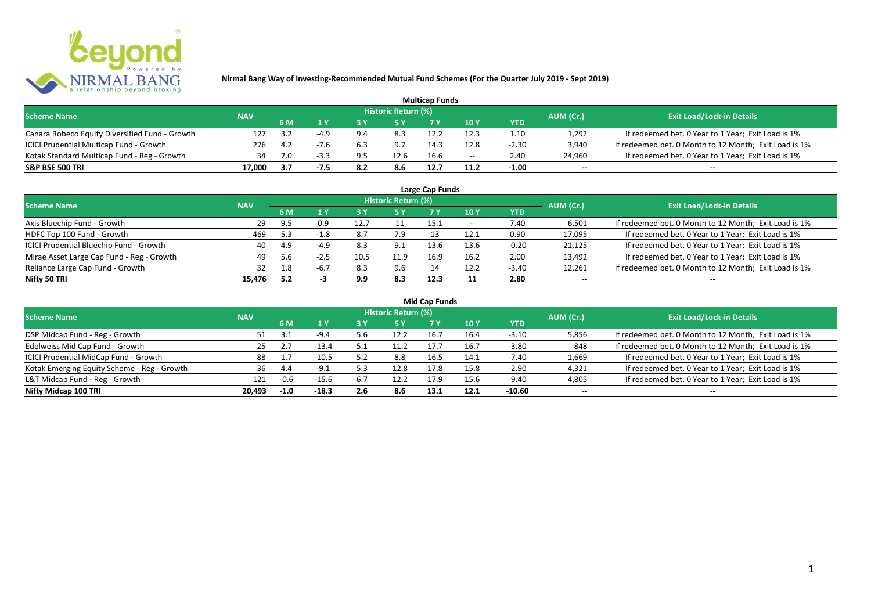

| <b>Multicap Funds</b>                          |            |     |        |     |                            |      |                          |         |                          |                                                       |  |  |
|------------------------------------------------|------------|-----|--------|-----|----------------------------|------|--------------------------|---------|--------------------------|-------------------------------------------------------|--|--|
| <b>Scheme Name</b>                             | <b>NAV</b> |     |        |     | <b>Historic Return (%)</b> |      |                          |         | AUM (Cr.)                | <b>Exit Load/Lock-in Details</b>                      |  |  |
|                                                |            | 6 M |        |     |                            |      | 10Y                      | YTD     |                          |                                                       |  |  |
| Canara Robeco Equity Diversified Fund - Growth | 127        |     |        |     | 8.3                        |      |                          | 1.10    | 1,292                    | If redeemed bet. 0 Year to 1 Year; Exit Load is 1%    |  |  |
| ICICI Prudential Multicap Fund - Growth        | 276        | 4.2 |        |     | 9.7                        | 14.3 | 12.8                     | $-2.30$ | 3,940                    | If redeemed bet. 0 Month to 12 Month; Exit Load is 1% |  |  |
| Kotak Standard Multicap Fund - Reg - Growth    | 34         |     | $-3.3$ | 9.5 | 12.6                       | 16.6 | $\overline{\phantom{a}}$ | 2.40    | 24,960                   | If redeemed bet. 0 Year to 1 Year; Exit Load is 1%    |  |  |
| S&P BSE 500 TRI                                | 17.000     |     |        | 8.2 | 8.6                        | 12.7 |                          | $-1.00$ | $\overline{\phantom{a}}$ | $\overline{\phantom{a}}$                              |  |  |

| Large Cap Funds                           |            |     |        |      |                     |      |       |            |                          |                                                       |  |  |
|-------------------------------------------|------------|-----|--------|------|---------------------|------|-------|------------|--------------------------|-------------------------------------------------------|--|--|
| <b>Scheme Name</b>                        | <b>NAV</b> |     |        |      | Historic Return (%) |      |       |            | AUM (Cr.)                | <b>Exit Load/Lock-in Details</b>                      |  |  |
|                                           |            | 6 M | 1 Y    |      | 5 Y                 |      | 10 Y  | <b>YTD</b> |                          |                                                       |  |  |
| Axis Bluechip Fund - Growth               | -29        | 9.5 | 0.9    | 12.7 |                     | 15.1 | $- -$ | 7.40       | 6,501                    | If redeemed bet. 0 Month to 12 Month; Exit Load is 1% |  |  |
| HDFC Top 100 Fund - Growth                | 469        | 5.3 | $-1.8$ | 8.7  | 7.9                 |      | 12.1  | 0.90       | 17,095                   | If redeemed bet. 0 Year to 1 Year; Exit Load is 1%    |  |  |
| ICICI Prudential Bluechip Fund - Growth   | 40         | 4.9 | $-4.9$ | 8.3  | 9.1                 | 13.6 | 13.6  | $-0.20$    | 21,125                   | If redeemed bet. 0 Year to 1 Year; Exit Load is 1%    |  |  |
| Mirae Asset Large Cap Fund - Reg - Growth | 49         | 5.6 | $-2.5$ | 10.5 | 11.9                | 16.9 | 16.2  | 2.00       | 13,492                   | If redeemed bet. 0 Year to 1 Year; Exit Load is 1%    |  |  |
| Reliance Large Cap Fund - Growth          | 32         | 1.8 | $-6.7$ | 8.3  | 9.6                 |      | 12.2  | $-3.40$    | 12,261                   | If redeemed bet. 0 Month to 12 Month; Exit Load is 1% |  |  |
| Nifty 50 TRI                              | 15.476     | 5.2 |        | 9.9  | 8.3                 | 12.3 |       | 2.80       | $\overline{\phantom{a}}$ | $- -$                                                 |  |  |

|  |  | <b>Mid Cap Funds</b> |
|--|--|----------------------|
|--|--|----------------------|

| <b>Scheme Name</b>                          | <b>NAV</b> |        |         |     | Historic Return (%) |      |      |            | AUM (Cr.)                | <b>Exit Load/Lock-in Details</b>                      |
|---------------------------------------------|------------|--------|---------|-----|---------------------|------|------|------------|--------------------------|-------------------------------------------------------|
|                                             |            | 6 M    |         |     | /5 Y                |      | 10 Y | <b>YTD</b> |                          |                                                       |
| DSP Midcap Fund - Reg - Growth              | 51.        | 3.1    | $-9.4$  |     | 12.7                | 16.7 | 16.4 | $-3.10$    | 5,856                    | If redeemed bet. 0 Month to 12 Month; Exit Load is 1% |
| Edelweiss Mid Cap Fund - Growth             | 25.        |        | $-13.4$ |     |                     | 17.7 | 16.7 | $-3.80$    | 848                      | If redeemed bet. 0 Month to 12 Month; Exit Load is 1% |
| ICICI Prudential MidCap Fund - Growth       | 88         |        | $-10.5$ | 5.2 | 8.8                 | 16.5 | 14.1 | $-7.40$    | 1,669                    | If redeemed bet. 0 Year to 1 Year; Exit Load is 1%    |
| Kotak Emerging Equity Scheme - Reg - Growth | 36         | 4.4    | $-91$   |     | 12.8                | 17.8 | 15.8 | $-2.90$    | 4,321                    | If redeemed bet. 0 Year to 1 Year; Exit Load is 1%    |
| L&T Midcap Fund - Reg - Growth              | 121        | -0.6   | $-15.6$ | 6.7 | 12.2                | 17.9 | 15.6 | $-9.40$    | 4,805                    | If redeemed bet. 0 Year to 1 Year; Exit Load is 1%    |
| Nifty Midcap 100 TRI                        | 20.493     | $-1.0$ | $-18.3$ | 2.6 | 8.6                 | 13.1 | 12.1 | $-10.60$   | $\overline{\phantom{a}}$ | $\overline{\phantom{a}}$                              |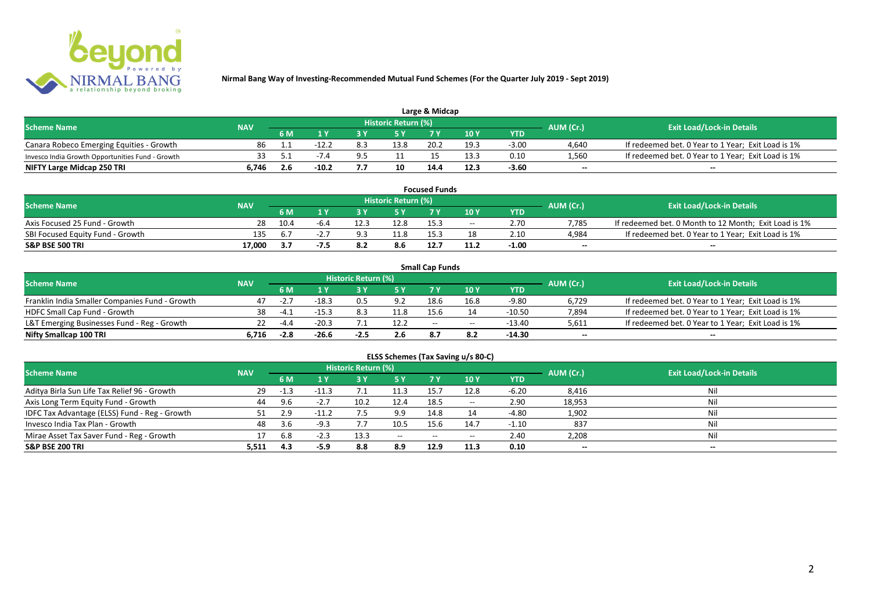

| Large & Midcap                                   |            |                   |         |  |                     |      |      |         |           |                                                    |  |  |
|--------------------------------------------------|------------|-------------------|---------|--|---------------------|------|------|---------|-----------|----------------------------------------------------|--|--|
| <b>Scheme Name</b>                               | <b>NAV</b> |                   |         |  | Historic Return (%) |      |      |         | AUM (Cr.) | <b>Exit Load/Lock-in Details</b>                   |  |  |
|                                                  |            | 10Y<br>6 M<br>YTD |         |  |                     |      |      |         |           |                                                    |  |  |
| Canara Robeco Emerging Equities - Growth         | 86         |                   |         |  | 13.8                | 20.2 | 19.3 | $-3.00$ | 4,640     | If redeemed bet. 0 Year to 1 Year; Exit Load is 1% |  |  |
| Invesco India Growth Opportunities Fund - Growth |            |                   |         |  |                     |      | 13.3 | 0.10    | 1,560     | If redeemed bet. 0 Year to 1 Year; Exit Load is 1% |  |  |
| NIFTY Large Midcap 250 TRI                       | 746ه       |                   | $-10.2$ |  | 10                  | 14.4 | 12.3 | -3.60   | $-$       | $- -$                                              |  |  |

| <b>Focused Funds</b>             |            |      |      |      |                     |      |       |            |                          |                                                       |  |
|----------------------------------|------------|------|------|------|---------------------|------|-------|------------|--------------------------|-------------------------------------------------------|--|
| <b>Scheme Name</b>               | <b>NAV</b> |      |      |      | Historic Return (%) |      |       |            | AUM (Cr.)                | <b>Exit Load/Lock-in Details</b>                      |  |
|                                  |            | 6 M  |      |      | <b>EV</b>           |      | 10 Y  | <b>YTD</b> |                          |                                                       |  |
| Axis Focused 25 Fund - Growth    | 28         | 10.4 | -6.4 | 12.3 | 12.8                | 15.3 | $- -$ | 2.70       | 7.785                    | If redeemed bet. 0 Month to 12 Month; Exit Load is 1% |  |
| SBI Focused Equity Fund - Growth | 135        | 6.7  |      |      | 11.8                | 15.3 |       | 2.10       | 4,984                    | If redeemed bet. 0 Year to 1 Year; Exit Load is 1%    |  |
| S&P BSE 500 TRI                  | 17.000     | 3.7  | -7.5 |      |                     | 12.7 |       | $-1.00$    | $\overline{\phantom{a}}$ | $-$                                                   |  |

|                                                |            |        |         |                     |      | <b>Small Cap Funds</b> |                                       |          |                          |                                                    |
|------------------------------------------------|------------|--------|---------|---------------------|------|------------------------|---------------------------------------|----------|--------------------------|----------------------------------------------------|
| <b>Scheme Name</b>                             | <b>NAV</b> |        |         | Historic Return (%) |      |                        |                                       |          | AUM (Cr.)                | <b>Exit Load/Lock-in Details</b>                   |
|                                                |            | 6 M    |         | 10 Y<br><b>YTD</b>  |      |                        |                                       |          |                          |                                                    |
| Franklin India Smaller Companies Fund - Growth | 47         | $-2.7$ | $-18.3$ |                     | 9.2  | 18.6                   | 16.8                                  | $-9.80$  | 6,729                    | If redeemed bet. 0 Year to 1 Year; Exit Load is 1% |
| HDFC Small Cap Fund - Growth                   | 38         | $-4.1$ | $-15.3$ |                     | 11.8 | 15.6                   |                                       | $-10.50$ | 7,894                    | If redeemed bet. 0 Year to 1 Year; Exit Load is 1% |
| L&T Emerging Businesses Fund - Reg - Growth    |            | $-4.4$ | $-20.3$ |                     | 12.2 | $-$                    | $\hspace{0.05cm}$ – $\hspace{0.05cm}$ | $-13.40$ | 5,611                    | If redeemed bet. 0 Year to 1 Year; Exit Load is 1% |
| Nifty Smallcap 100 TRI                         | 6.716      | $-2.8$ | $-26.6$ | -2.5                | 2.6  | 8.7                    |                                       | -14.30   | $\overline{\phantom{a}}$ | $- -$                                              |

| ELSS Schemes (Tax Saving u/s 80-C)            |            |        |         |                            |                                       |           |                 |            |                          |                                  |  |  |
|-----------------------------------------------|------------|--------|---------|----------------------------|---------------------------------------|-----------|-----------------|------------|--------------------------|----------------------------------|--|--|
| <b>Scheme Name</b>                            | <b>NAV</b> |        |         | <b>Historic Return (%)</b> |                                       |           |                 |            | AUM (Cr.)                | <b>Exit Load/Lock-in Details</b> |  |  |
|                                               |            | 6 M    | 1 Y     | /3 Y                       | 75 Y                                  | <b>7Y</b> | 10 <sub>Y</sub> | <b>YTD</b> |                          |                                  |  |  |
| Aditya Birla Sun Life Tax Relief 96 - Growth  | -29        | $-1.3$ | $-11.3$ |                            |                                       | 15.7      | 12.8            | $-6.20$    | 8,416                    | Nil                              |  |  |
| Axis Long Term Equity Fund - Growth           | 44         | 9.6    | $-2.7$  | 10.2                       | 12.4                                  | 18.5      | $- -$           | 2.90       | 18,953                   | Nil                              |  |  |
| IDFC Tax Advantage (ELSS) Fund - Reg - Growth |            | 2.9    | $-11.2$ | 7.5                        | 9.9                                   | 14.8      |                 | -4.80      | 1,902                    | Nil                              |  |  |
| Invesco India Tax Plan - Growth               | 48         | 3.6    | $-9.3$  |                            | 10.5                                  | 15.6      | 14.7            | $-1.10$    | 837                      | Nil                              |  |  |
| Mirae Asset Tax Saver Fund - Reg - Growth     |            | 6.8    | -4.3    | 13.3                       | $\hspace{0.05cm}$ – $\hspace{0.05cm}$ | $-$       | $- -$           | 2.40       | 2,208                    | Nil                              |  |  |
| S&P BSE 200 TRI                               | 5,511      | 4.3    | -5.9    | 8.8                        | 8.9                                   | 12.9      | 11.3            | 0.10       | $\overline{\phantom{a}}$ | $\overline{\phantom{a}}$         |  |  |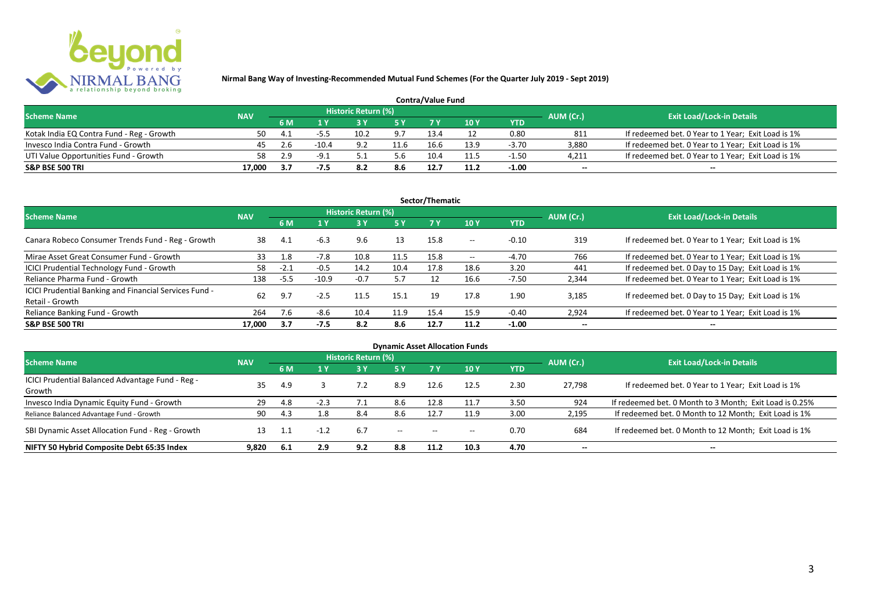

| <b>Contra/Value Fund</b>                  |            |              |         |                     |      |      |      |         |           |                                                    |  |  |
|-------------------------------------------|------------|--------------|---------|---------------------|------|------|------|---------|-----------|----------------------------------------------------|--|--|
| <b>Scheme Name</b>                        | <b>NAV</b> |              |         | Historic Return (%) |      |      |      |         | AUM (Cr.) | <b>Exit Load/Lock-in Details</b>                   |  |  |
|                                           |            | 6 M          |         |                     |      |      | 10 Y | YTD     |           |                                                    |  |  |
| Kotak India EQ Contra Fund - Reg - Growth | 50         | $\mathbf{A}$ |         | 10.2                | 9.7  | 13.4 |      | 0.80    | 811       | If redeemed bet. 0 Year to 1 Year; Exit Load is 1% |  |  |
| Invesco India Contra Fund - Growth        | 45         | 2.6          | $-10.4$ | 9.2                 | 11.6 | 16.f | 13.9 | $-3.70$ | 3.880     | If redeemed bet. 0 Year to 1 Year; Exit Load is 1% |  |  |
| UTI Value Opportunities Fund - Growth     | 58.        |              | $-9.1$  |                     | 5.6  | 10.4 |      | $-1.50$ | 4,211     | If redeemed bet. 0 Year to 1 Year; Exit Load is 1% |  |  |
| <b>S&amp;P BSE 500 TRI</b>                | 17.000     | 3.7          |         |                     | 8.6  | 12.7 |      | $-1.00$ | $\sim$    | $\overline{\phantom{a}}$                           |  |  |

|                                                                           |            |        |         |                     |      | Sector/Thematic |                   |            |                          |                                                    |
|---------------------------------------------------------------------------|------------|--------|---------|---------------------|------|-----------------|-------------------|------------|--------------------------|----------------------------------------------------|
| <b>Scheme Name</b>                                                        | <b>NAV</b> |        |         | Historic Return (%) |      |                 |                   |            | AUM (Cr.)                | <b>Exit Load/Lock-in Details</b>                   |
|                                                                           |            | 6 M    | 1 Y     |                     | 5 Y  | <b>7Y</b>       | 10Y               | <b>YTD</b> |                          |                                                    |
| Canara Robeco Consumer Trends Fund - Reg - Growth                         | 38         | 4.1    | $-6.3$  | 9.6                 | 13   | 15.8            | $- -$             | $-0.10$    | 319                      | If redeemed bet. 0 Year to 1 Year; Exit Load is 1% |
| Mirae Asset Great Consumer Fund - Growth                                  | 33         | 1.8    | $-7.8$  | 10.8                | 11.5 | 15.8            | $\hspace{0.05cm}$ | $-4.70$    | 766                      | If redeemed bet. 0 Year to 1 Year; Exit Load is 1% |
| ICICI Prudential Technology Fund - Growth                                 | 58         | $-2.1$ | $-0.5$  | 14.2                | 10.4 | 17.8            | 18.6              | 3.20       | 441                      | If redeemed bet. 0 Day to 15 Day; Exit Load is 1%  |
| Reliance Pharma Fund - Growth                                             | 138        | $-5.5$ | $-10.9$ | $-0.7$              | 5.7  |                 | 16.6              | $-7.50$    | 2,344                    | If redeemed bet. 0 Year to 1 Year; Exit Load is 1% |
| ICICI Prudential Banking and Financial Services Fund -<br>Retail - Growth | 62         | 9.7    | $-2.5$  | 11.5                | 15.1 | 19              | 17.8              | 1.90       | 3.185                    | If redeemed bet. 0 Day to 15 Day; Exit Load is 1%  |
| Reliance Banking Fund - Growth                                            | 264        | 7.6    | $-8.6$  | 10.4                | 11.9 | 15.4            | 15.9              | $-0.40$    | 2,924                    | If redeemed bet. 0 Year to 1 Year; Exit Load is 1% |
| <b>S&amp;P BSE 500 TRI</b>                                                | 17.000     | 3.7    | $-7.5$  | 8.2                 | 8.6  | 12.7            | 11.2              | $-1.00$    | $\overline{\phantom{a}}$ | $- -$                                              |

|                                                  |            |     |        |                            |                                       |                                       | <b>Dynamic Asset Allocation Funds</b> |            |                          |                                                         |
|--------------------------------------------------|------------|-----|--------|----------------------------|---------------------------------------|---------------------------------------|---------------------------------------|------------|--------------------------|---------------------------------------------------------|
| Scheme Name                                      | <b>NAV</b> |     |        | <b>Historic Return (%)</b> |                                       |                                       |                                       |            | AUM (Cr.)                | <b>Exit Load/Lock-in Details</b>                        |
|                                                  |            | 6 M | 1 Y    | 3 Y                        | 5 Y                                   |                                       | 10 Y                                  | <b>YTD</b> |                          |                                                         |
| ICICI Prudential Balanced Advantage Fund - Reg - | 35         | 4.9 |        |                            | 8.9                                   | 12.6                                  | 12.5                                  | 2.30       | 27.798                   | If redeemed bet. 0 Year to 1 Year; Exit Load is 1%      |
| Growth                                           |            |     |        |                            |                                       |                                       |                                       |            |                          |                                                         |
| Invesco India Dynamic Equity Fund - Growth       | 29         | 4.8 | $-2.3$ |                            | 8.6                                   | 12.8                                  |                                       | 3.50       | 924                      | If redeemed bet. 0 Month to 3 Month; Exit Load is 0.25% |
| Reliance Balanced Advantage Fund - Growth        | 90         | 4.3 | 1.8    | 8.4                        | 8.6                                   | 12.7                                  | 11.9                                  | 3.00       | 2,195                    | If redeemed bet. 0 Month to 12 Month; Exit Load is 1%   |
| SBI Dynamic Asset Allocation Fund - Reg - Growth |            | 1.1 | $-1.2$ | 6.7                        | $\hspace{0.05cm}$ – $\hspace{0.05cm}$ | $\hspace{0.05cm}$ – $\hspace{0.05cm}$ | $- -$                                 | 0.70       | 684                      | If redeemed bet. 0 Month to 12 Month; Exit Load is 1%   |
| NIFTY 50 Hybrid Composite Debt 65:35 Index       | 9.820      | 6.1 | 2.9    | 9.2                        | 8.8                                   | 11.2                                  | 10.3                                  | 4.70       | $\overline{\phantom{a}}$ | $- -$                                                   |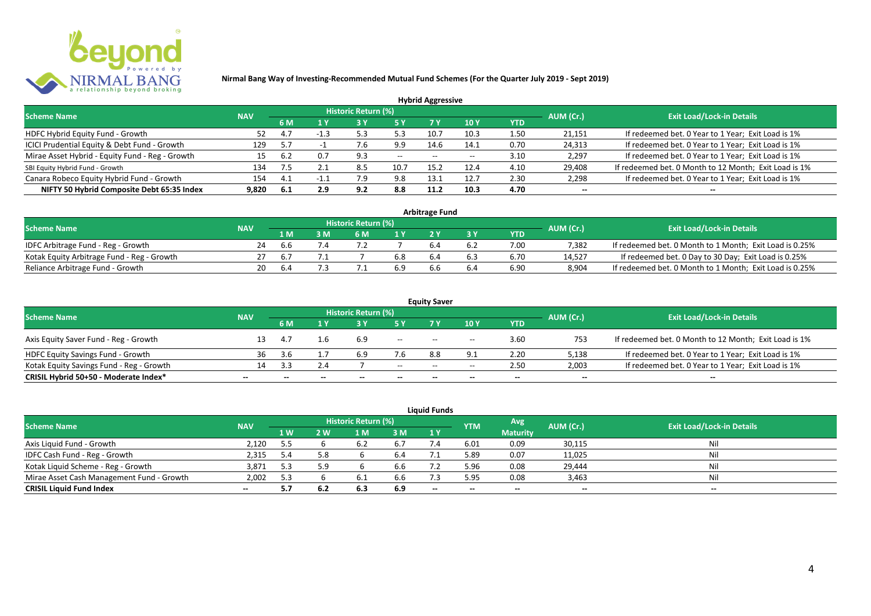

|                                                 |            |     |        |                            |           | <b>Hybrid Aggressive</b> |                          |            |                          |                                                       |
|-------------------------------------------------|------------|-----|--------|----------------------------|-----------|--------------------------|--------------------------|------------|--------------------------|-------------------------------------------------------|
| <b>Scheme Name</b>                              | <b>NAV</b> |     |        | <b>Historic Return (%)</b> |           |                          |                          |            | AUM (Cr.)                | <b>Exit Load/Lock-in Details</b>                      |
|                                                 |            | 6 M | 1 Y    |                            | <b>5Y</b> | 7 Y                      | 10Y                      | <b>YTD</b> |                          |                                                       |
| HDFC Hybrid Equity Fund - Growth                | 52         | 4.7 | $-1.3$ | 5.3                        | 5.3       | 10.7                     | 10.3                     | 1.50       | 21,151                   | If redeemed bet. 0 Year to 1 Year; Exit Load is 1%    |
| ICICI Prudential Equity & Debt Fund - Growth    | 129        | 5.7 |        | o.,                        | 9.9       | 14.6                     | 14.1                     | 0.70       | 24,313                   | If redeemed bet. 0 Year to 1 Year; Exit Load is 1%    |
| Mirae Asset Hybrid - Equity Fund - Reg - Growth | 15         | 6.2 | 0.7    | 9.3                        | $- -$     | $- -$                    | $\overline{\phantom{a}}$ | 3.10       | 2,297                    | If redeemed bet. 0 Year to 1 Year; Exit Load is 1%    |
| SBI Equity Hybrid Fund - Growth                 | 134        |     |        | 8.5                        | 10.7      | 15.2                     | 12.4                     | 4.10       | 29,408                   | If redeemed bet. 0 Month to 12 Month; Exit Load is 1% |
| Canara Robeco Equity Hybrid Fund - Growth       | 154        | 4.1 |        | '.9                        | 9.8       | 13.1                     | 12.7                     | 2.30       | 2,298                    | If redeemed bet. 0 Year to 1 Year; Exit Load is 1%    |
| NIFTY 50 Hybrid Composite Debt 65:35 Index      | 9.820      | 6.1 | 2.9    | 9.2                        | 8.8       | 11.2                     | 10.3                     | 4.70       | $\overline{\phantom{a}}$ | $\overline{\phantom{a}}$                              |

| <b>Arbitrage Fund</b>                      |            |     |  |                     |     |     |     |            |           |                                                         |  |  |  |
|--------------------------------------------|------------|-----|--|---------------------|-----|-----|-----|------------|-----------|---------------------------------------------------------|--|--|--|
| <b>Scheme Name</b>                         | <b>NAV</b> |     |  | Historic Return (%) |     |     |     |            | AUM (Cr.) | <b>Exit Load/Lock-in Details</b>                        |  |  |  |
|                                            |            | 1 M |  | 6 M                 |     |     |     | <b>YTD</b> |           |                                                         |  |  |  |
| IDFC Arbitrage Fund - Reg - Growth         | 24         | b.b |  |                     |     |     | 6.2 | 7.00       | 7.382     | If redeemed bet. 0 Month to 1 Month; Exit Load is 0.25% |  |  |  |
| Kotak Equity Arbitrage Fund - Reg - Growth |            | 6.7 |  |                     | 6.8 | 6.4 | 6.3 | 6.70       | 14.527    | If redeemed bet. 0 Day to 30 Day; Exit Load is 0.25%    |  |  |  |
| Reliance Arbitrage Fund - Growth           | 20         |     |  |                     | 6.9 |     | 6.4 | 6.90       | 8.904     | If redeemed bet. 0 Month to 1 Month; Exit Load is 0.25% |  |  |  |

|                                          |                          |     |                          |                            |                          | <b>Equity Saver</b> |                          |                          |                          |                                                       |
|------------------------------------------|--------------------------|-----|--------------------------|----------------------------|--------------------------|---------------------|--------------------------|--------------------------|--------------------------|-------------------------------------------------------|
| <b>Scheme Name</b>                       | <b>NAV</b>               |     |                          | <b>Historic Return (%)</b> |                          |                     |                          |                          | AUM (Cr.)                | <b>Exit Load/Lock-in Details</b>                      |
|                                          |                          | 6 M |                          |                            |                          |                     | 10 Y                     | <b>YTD</b>               |                          |                                                       |
| Axis Equity Saver Fund - Reg - Growth    |                          | 4.7 | l.h                      | 6.9                        | $\overline{\phantom{a}}$ | $- -$               | $- -$                    | 3.60                     | 753                      | If redeemed bet. 0 Month to 12 Month; Exit Load is 1% |
| HDFC Equity Savings Fund - Growth        | 36                       | 3.6 |                          |                            | 7.6                      | 8.8                 |                          | 2.20                     | 5,138                    | If redeemed bet. 0 Year to 1 Year; Exit Load is 1%    |
| Kotak Equity Savings Fund - Reg - Growth |                          |     | 2.4                      |                            | $- -$                    | $- -$               | $- -$                    | 2.50                     | 2.003                    | If redeemed bet. 0 Year to 1 Year; Exit Load is 1%    |
| CRISIL Hybrid 50+50 - Moderate Index*    | $\overline{\phantom{a}}$ | $-$ | $\overline{\phantom{a}}$ | --                         | $\overline{\phantom{a}}$ | $- -$               | $\overline{\phantom{a}}$ | $\overline{\phantom{a}}$ | $\overline{\phantom{a}}$ | $- -$                                                 |

| <b>Liquid Funds</b>                       |            |      |     |                     |     |       |            |                 |           |                                  |  |  |  |
|-------------------------------------------|------------|------|-----|---------------------|-----|-------|------------|-----------------|-----------|----------------------------------|--|--|--|
| <b>Scheme Name</b>                        | <b>NAV</b> |      |     | Historic Return (%) |     |       | <b>YTM</b> | Avg             | AUM (Cr.) | <b>Exit Load/Lock-in Details</b> |  |  |  |
|                                           |            | 1 W. | 2 W | 1 M                 | 3 M | 1Y    |            | <b>Maturity</b> |           |                                  |  |  |  |
| Axis Liquid Fund - Growth                 | 2,120      | 5.5  |     |                     | 6.7 |       | 6.01       | 0.09            | 30,115    | Nil                              |  |  |  |
| IDFC Cash Fund - Reg - Growth             | 2,315      | 5.4  | 5.8 |                     | 6.4 |       | 5.89       | 0.07            | 11,025    | Nil                              |  |  |  |
| Kotak Liquid Scheme - Reg - Growth        | 3,871      | 5.3  |     |                     | 6.6 |       | 5.96       | 0.08            | 29,444    | Nil                              |  |  |  |
| Mirae Asset Cash Management Fund - Growth | 2,002      | 5.3  |     |                     | 6.6 |       | 5.95       | 0.08            | 3,463     | Nil                              |  |  |  |
| <b>CRISIL Liquid Fund Index</b>           | $\sim$     | 5.7  | 6.2 | 6.3                 | 6.9 | $- -$ | $- -$      | $- -$           | --        | $- -$                            |  |  |  |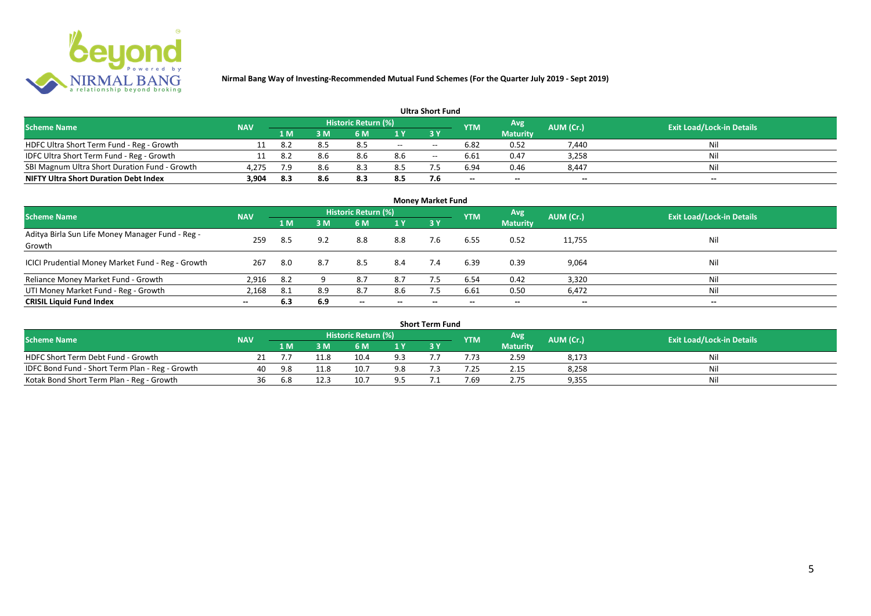

| <b>Ultra Short Fund</b>                       |            |     |     |                            |       |       |                          |                          |                          |                                  |  |  |  |
|-----------------------------------------------|------------|-----|-----|----------------------------|-------|-------|--------------------------|--------------------------|--------------------------|----------------------------------|--|--|--|
| <b>Scheme Name</b>                            | <b>NAV</b> |     |     | <b>Historic Return (%)</b> |       |       | <b>YTM</b>               | Avg                      | AUM (Cr.)                | <b>Exit Load/Lock-in Details</b> |  |  |  |
|                                               |            | 1 M | 3 M | 6 M                        |       |       |                          | <b>Maturity</b>          |                          |                                  |  |  |  |
| HDFC Ultra Short Term Fund - Reg - Growth     |            | 8.2 | 8.5 | 8.5                        | $- -$ | $- -$ | 6.82                     | 0.52                     | 7,440                    | Nil                              |  |  |  |
| IDFC Ultra Short Term Fund - Reg - Growth     |            | 8.2 | 8.6 | 8.6                        | 8.6   | $- -$ | 6.61                     | 0.47                     | 3,258                    | Nil                              |  |  |  |
| SBI Magnum Ultra Short Duration Fund - Growth | 4,275      | 7.9 | 8.6 | 8.3                        | 8.5   |       | 6.94                     | 0.46                     | 8,447                    | Nil                              |  |  |  |
| <b>NIFTY Ultra Short Duration Debt Index</b>  | 3,904      | 8.3 | 8.6 | 8.3                        | 8.5   | 7.6   | $\overline{\phantom{a}}$ | $\overline{\phantom{a}}$ | $\overline{\phantom{a}}$ | $\overline{\phantom{a}}$         |  |  |  |

| <b>Money Market Fund</b>                                   |            |     |     |                            |                          |           |            |                 |                          |                                  |  |  |  |
|------------------------------------------------------------|------------|-----|-----|----------------------------|--------------------------|-----------|------------|-----------------|--------------------------|----------------------------------|--|--|--|
| <b>Scheme Name</b>                                         | <b>NAV</b> |     |     | <b>Historic Return (%)</b> |                          |           | <b>YTM</b> | Avg             | AUM (Cr.)                | <b>Exit Load/Lock-in Details</b> |  |  |  |
|                                                            |            | 1 M | 3M  | 6 M                        | 1Y                       | <b>3Y</b> |            | <b>Maturity</b> |                          |                                  |  |  |  |
| Aditya Birla Sun Life Money Manager Fund - Reg -<br>Growth | 259        | 8.5 | 9.2 | 8.8                        | 8.8                      | 7.6       | 6.55       | 0.52            | 11,755                   | Nil                              |  |  |  |
| ICICI Prudential Money Market Fund - Reg - Growth          | 267        | 8.0 | 8.7 | 8.5                        | 8.4                      | 7.4       | 6.39       | 0.39            | 9,064                    | Nil                              |  |  |  |
| Reliance Money Market Fund - Growth                        | 2,916      | 8.2 |     | 8.7                        | 8.7                      |           | 6.54       | 0.42            | 3,320                    | Nil                              |  |  |  |
| UTI Money Market Fund - Reg - Growth                       | 2,168      | 8.1 | 8.9 | 8.7                        | 8.6                      | 7.5       | 6.61       | 0.50            | 6,472                    | Nil                              |  |  |  |
| <b>CRISIL Liquid Fund Index</b>                            | $- -$      | 6.3 | 6.9 | $\overline{\phantom{a}}$   | $\overline{\phantom{a}}$ | $- -$     | $\!-$      | $\sim$          | $\overline{\phantom{a}}$ | $\overline{\phantom{a}}$         |  |  |  |

| Short Term Fund                                 |            |     |      |                     |     |  |            |                 |           |                                  |  |  |  |
|-------------------------------------------------|------------|-----|------|---------------------|-----|--|------------|-----------------|-----------|----------------------------------|--|--|--|
| <b>Scheme Name</b>                              | <b>NAV</b> |     |      | Historic Return (%) |     |  | <b>YTM</b> | Avg             | AUM (Cr.) | <b>Exit Load/Lock-in Details</b> |  |  |  |
|                                                 |            | 1 M |      | 6 M                 | 1 V |  |            | <b>Maturity</b> |           |                                  |  |  |  |
| HDFC Short Term Debt Fund - Growth              |            |     | 11.8 | 10.4                | 9.3 |  |            | 2.59            | 8,173     | Nil                              |  |  |  |
| IDFC Bond Fund - Short Term Plan - Reg - Growth | 40         | 9.8 | 11.8 | 10.7                | 9.8 |  | .25        | 2.15            | 8,258     | Nil                              |  |  |  |
| Kotak Bond Short Term Plan - Reg - Growth       | 36         | 6.8 | 12.3 | 10.7                | ا ۵ |  | 7.69       | 2.75            | 9,355     | Nil                              |  |  |  |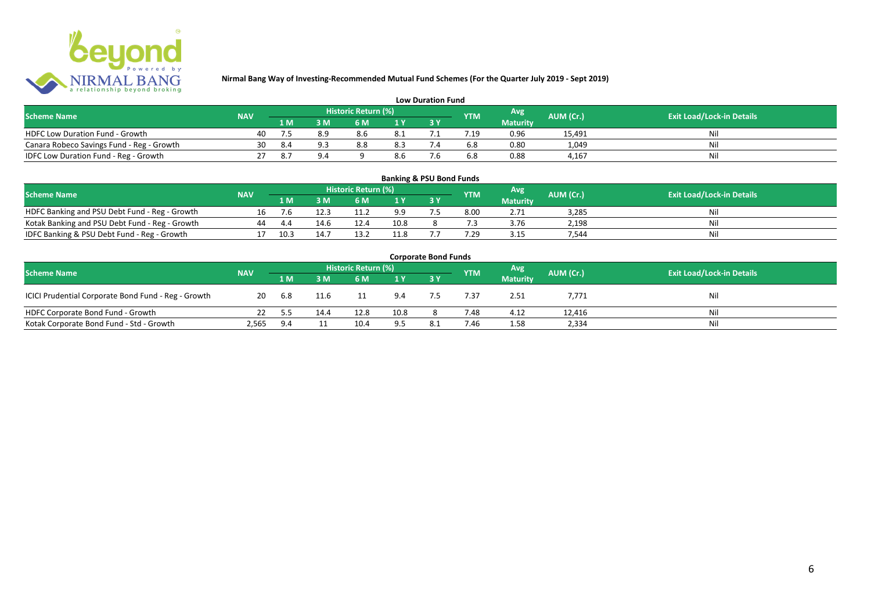

| <b>Low Duration Fund</b>                  |            |     |                |                     |      |  |            |                 |           |                                  |  |  |  |  |
|-------------------------------------------|------------|-----|----------------|---------------------|------|--|------------|-----------------|-----------|----------------------------------|--|--|--|--|
| <b>Scheme Name</b>                        | <b>NAV</b> |     |                | Historic Return (%) |      |  | <b>YTM</b> | Avg             | AUM (Cr.) | <b>Exit Load/Lock-in Details</b> |  |  |  |  |
|                                           |            | 1 M | 3 <sub>N</sub> | 6 M                 |      |  |            | <b>Maturity</b> |           |                                  |  |  |  |  |
| HDFC Low Duration Fund - Growth           | 40         |     | 8.9            | 8.6                 | -8.1 |  |            | 0.96            | 15,491    | Ni                               |  |  |  |  |
| Canara Robeco Savings Fund - Reg - Growth | 30         | 8.4 | a a            | 8.8                 | 8.3  |  | 6.8        | 0.80            | 1,049     | Ni                               |  |  |  |  |
| IDFC Low Duration Fund - Reg - Growth     |            | 8.7 | 9.4            |                     | 8.6  |  | 6.8        | 0.88            | 4.167     | Ni                               |  |  |  |  |

| <b>Banking &amp; PSU Bond Funds</b>            |            |      |      |                     |                |  |            |                 |           |                                  |  |  |  |
|------------------------------------------------|------------|------|------|---------------------|----------------|--|------------|-----------------|-----------|----------------------------------|--|--|--|
| <b>Scheme Name</b>                             | <b>NAV</b> |      |      | Historic Return (%) |                |  | <b>YTM</b> | Avg             | AUM (Cr.) | <b>Exit Load/Lock-in Details</b> |  |  |  |
|                                                |            | 1 M  | R M' | 6 M                 | 1 <sup>Y</sup> |  |            | <b>Maturity</b> |           |                                  |  |  |  |
| HDFC Banking and PSU Debt Fund - Reg - Growth  |            | 7.b  | 12.3 |                     |                |  | 8.00       | 2.71            | 3.285     | Nil                              |  |  |  |
| Kotak Banking and PSU Debt Fund - Reg - Growth | 44         | 4.4  | 14.6 | 12.4                | 10.8           |  |            | 3.76            | 2.198     | Nil                              |  |  |  |
| IDFC Banking & PSU Debt Fund - Reg - Growth    |            | 10.3 | 14.7 |                     | 11.8           |  | '.29       | 3.15            | 544.      | Nil                              |  |  |  |

| <b>Corporate Bond Funds</b>                         |            |        |      |      |                |  |            |                 |           |                                  |  |  |  |
|-----------------------------------------------------|------------|--------|------|------|----------------|--|------------|-----------------|-----------|----------------------------------|--|--|--|
| <b>Scheme Name</b>                                  | <b>NAV</b> |        |      |      |                |  | <b>YTM</b> | <b>Avg</b>      | AUM (Cr.) | <b>Exit Load/Lock-in Details</b> |  |  |  |
|                                                     |            | /1 M / | 3 M  | 6 M  | 4 <sub>Y</sub> |  |            | <b>Maturity</b> |           |                                  |  |  |  |
| ICICI Prudential Corporate Bond Fund - Reg - Growth | 20         | 6.8    | 11.6 |      | 9.4            |  | 7.37       | 2.51            | 7,771     | Nil                              |  |  |  |
| HDFC Corporate Bond Fund - Growth                   |            | 5.5    | 14.4 | 12.8 | 10.8           |  | 7.48       | 4.12            | 12,416    | Ni                               |  |  |  |
| Kotak Corporate Bond Fund - Std - Growth            | 2,565      | 9.4    |      | 10.4 | 9.5            |  | 7.46       | 1.58            | 2,334     | Ni                               |  |  |  |